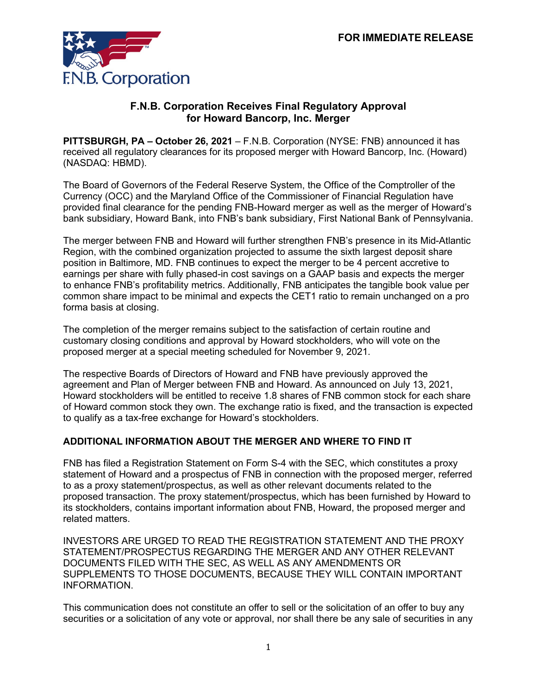

# **F.N.B. Corporation Receives Final Regulatory Approval for Howard Bancorp, Inc. Merger**

**PITTSBURGH, PA – October 26, 2021** – F.N.B. Corporation (NYSE: FNB) announced it has received all regulatory clearances for its proposed merger with Howard Bancorp, Inc. (Howard) (NASDAQ: HBMD).

The Board of Governors of the Federal Reserve System, the Office of the Comptroller of the Currency (OCC) and the Maryland Office of the Commissioner of Financial Regulation have provided final clearance for the pending FNB-Howard merger as well as the merger of Howard's bank subsidiary, Howard Bank, into FNB's bank subsidiary, First National Bank of Pennsylvania.

The merger between FNB and Howard will further strengthen FNB's presence in its Mid-Atlantic Region, with the combined organization projected to assume the sixth largest deposit share position in Baltimore, MD. FNB continues to expect the merger to be 4 percent accretive to earnings per share with fully phased-in cost savings on a GAAP basis and expects the merger to enhance FNB's profitability metrics. Additionally, FNB anticipates the tangible book value per common share impact to be minimal and expects the CET1 ratio to remain unchanged on a pro forma basis at closing.

The completion of the merger remains subject to the satisfaction of certain routine and customary closing conditions and approval by Howard stockholders, who will vote on the proposed merger at a special meeting scheduled for November 9, 2021.

The respective Boards of Directors of Howard and FNB have previously approved the agreement and Plan of Merger between FNB and Howard. As announced on July 13, 2021, Howard stockholders will be entitled to receive 1.8 shares of FNB common stock for each share of Howard common stock they own. The exchange ratio is fixed, and the transaction is expected to qualify as a tax-free exchange for Howard's stockholders.

## **ADDITIONAL INFORMATION ABOUT THE MERGER AND WHERE TO FIND IT**

FNB has filed a Registration Statement on Form S-4 with the SEC, which constitutes a proxy statement of Howard and a prospectus of FNB in connection with the proposed merger, referred to as a proxy statement/prospectus, as well as other relevant documents related to the proposed transaction. The proxy statement/prospectus, which has been furnished by Howard to its stockholders, contains important information about FNB, Howard, the proposed merger and related matters.

INVESTORS ARE URGED TO READ THE REGISTRATION STATEMENT AND THE PROXY STATEMENT/PROSPECTUS REGARDING THE MERGER AND ANY OTHER RELEVANT DOCUMENTS FILED WITH THE SEC, AS WELL AS ANY AMENDMENTS OR SUPPLEMENTS TO THOSE DOCUMENTS, BECAUSE THEY WILL CONTAIN IMPORTANT INFORMATION.

This communication does not constitute an offer to sell or the solicitation of an offer to buy any securities or a solicitation of any vote or approval, nor shall there be any sale of securities in any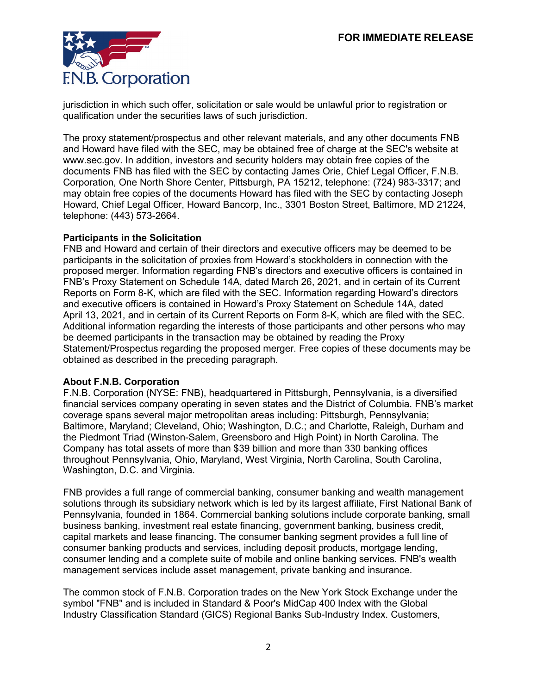

jurisdiction in which such offer, solicitation or sale would be unlawful prior to registration or qualification under the securities laws of such jurisdiction.

The proxy statement/prospectus and other relevant materials, and any other documents FNB and Howard have filed with the SEC, may be obtained free of charge at the SEC's website at www.sec.gov. In addition, investors and security holders may obtain free copies of the documents FNB has filed with the SEC by contacting James Orie, Chief Legal Officer, F.N.B. Corporation, One North Shore Center, Pittsburgh, PA 15212, telephone: (724) 983-3317; and may obtain free copies of the documents Howard has filed with the SEC by contacting Joseph Howard, Chief Legal Officer, Howard Bancorp, Inc., 3301 Boston Street, Baltimore, MD 21224, telephone: (443) 573-2664.

#### **Participants in the Solicitation**

FNB and Howard and certain of their directors and executive officers may be deemed to be participants in the solicitation of proxies from Howard's stockholders in connection with the proposed merger. Information regarding FNB's directors and executive officers is contained in FNB's Proxy Statement on Schedule 14A, dated March 26, 2021, and in certain of its Current Reports on Form 8-K, which are filed with the SEC. Information regarding Howard's directors and executive officers is contained in Howard's Proxy Statement on Schedule 14A, dated April 13, 2021, and in certain of its Current Reports on Form 8-K, which are filed with the SEC. Additional information regarding the interests of those participants and other persons who may be deemed participants in the transaction may be obtained by reading the Proxy Statement/Prospectus regarding the proposed merger. Free copies of these documents may be obtained as described in the preceding paragraph.

#### **About F.N.B. Corporation**

F.N.B. Corporation (NYSE: FNB), headquartered in Pittsburgh, Pennsylvania, is a diversified financial services company operating in seven states and the District of Columbia. FNB's market coverage spans several major metropolitan areas including: Pittsburgh, Pennsylvania; Baltimore, Maryland; Cleveland, Ohio; Washington, D.C.; and Charlotte, Raleigh, Durham and the Piedmont Triad (Winston-Salem, Greensboro and High Point) in North Carolina. The Company has total assets of more than \$39 billion and more than 330 banking offices throughout Pennsylvania, Ohio, Maryland, West Virginia, North Carolina, South Carolina, Washington, D.C. and Virginia.

FNB provides a full range of commercial banking, consumer banking and wealth management solutions through its subsidiary network which is led by its largest affiliate, First National Bank of Pennsylvania, founded in 1864. Commercial banking solutions include corporate banking, small business banking, investment real estate financing, government banking, business credit, capital markets and lease financing. The consumer banking segment provides a full line of consumer banking products and services, including deposit products, mortgage lending, consumer lending and a complete suite of mobile and online banking services. FNB's wealth management services include asset management, private banking and insurance.

The common stock of F.N.B. Corporation trades on the New York Stock Exchange under the symbol "FNB" and is included in Standard & Poor's MidCap 400 Index with the Global Industry Classification Standard (GICS) Regional Banks Sub-Industry Index. Customers,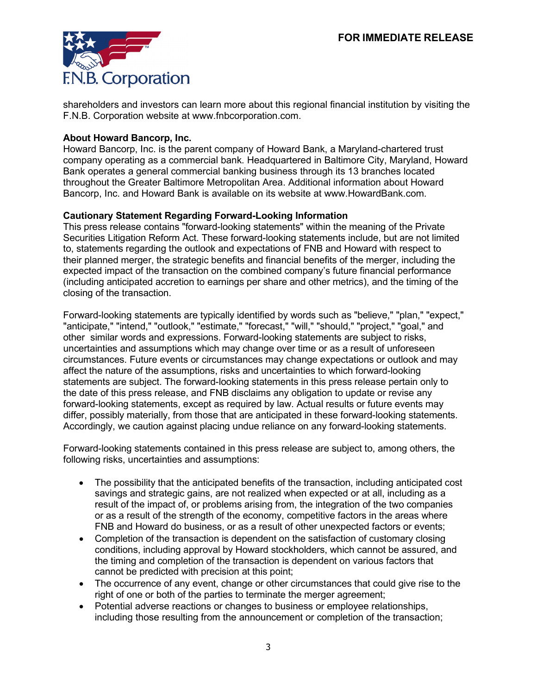

shareholders and investors can learn more about this regional financial institution by visiting the F.N.B. Corporation website at www.fnbcorporation.com.

### **About Howard Bancorp, Inc.**

Howard Bancorp, Inc. is the parent company of Howard Bank, a Maryland-chartered trust company operating as a commercial bank. Headquartered in Baltimore City, Maryland, Howard Bank operates a general commercial banking business through its 13 branches located throughout the Greater Baltimore Metropolitan Area. Additional information about Howard Bancorp, Inc. and Howard Bank is available on its website at www.HowardBank.com.

### **Cautionary Statement Regarding Forward-Looking Information**

This press release contains "forward-looking statements" within the meaning of the Private Securities Litigation Reform Act. These forward-looking statements include, but are not limited to, statements regarding the outlook and expectations of FNB and Howard with respect to their planned merger, the strategic benefits and financial benefits of the merger, including the expected impact of the transaction on the combined company's future financial performance (including anticipated accretion to earnings per share and other metrics), and the timing of the closing of the transaction.

Forward-looking statements are typically identified by words such as "believe," "plan," "expect," "anticipate," "intend," "outlook," "estimate," "forecast," "will," "should," "project," "goal," and other similar words and expressions. Forward-looking statements are subject to risks, uncertainties and assumptions which may change over time or as a result of unforeseen circumstances. Future events or circumstances may change expectations or outlook and may affect the nature of the assumptions, risks and uncertainties to which forward-looking statements are subject. The forward-looking statements in this press release pertain only to the date of this press release, and FNB disclaims any obligation to update or revise any forward-looking statements, except as required by law. Actual results or future events may differ, possibly materially, from those that are anticipated in these forward-looking statements. Accordingly, we caution against placing undue reliance on any forward-looking statements.

Forward-looking statements contained in this press release are subject to, among others, the following risks, uncertainties and assumptions:

- The possibility that the anticipated benefits of the transaction, including anticipated cost savings and strategic gains, are not realized when expected or at all, including as a result of the impact of, or problems arising from, the integration of the two companies or as a result of the strength of the economy, competitive factors in the areas where FNB and Howard do business, or as a result of other unexpected factors or events;
- Completion of the transaction is dependent on the satisfaction of customary closing conditions, including approval by Howard stockholders, which cannot be assured, and the timing and completion of the transaction is dependent on various factors that cannot be predicted with precision at this point;
- The occurrence of any event, change or other circumstances that could give rise to the right of one or both of the parties to terminate the merger agreement;
- Potential adverse reactions or changes to business or employee relationships, including those resulting from the announcement or completion of the transaction;